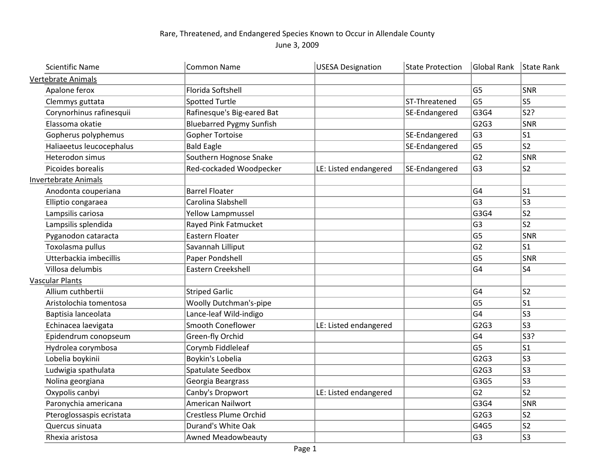## Rare, Threatened, and Endangered Species Known to Occur in Allendale County

June 3, 2009

| <b>Scientific Name</b>      | <b>Common Name</b>              | <b>USESA Designation</b> | <b>State Protection</b> | <b>Global Rank</b> | State Rank              |
|-----------------------------|---------------------------------|--------------------------|-------------------------|--------------------|-------------------------|
| Vertebrate Animals          |                                 |                          |                         |                    |                         |
| Apalone ferox               | Florida Softshell               |                          |                         | G <sub>5</sub>     | <sub>SNR</sub>          |
| Clemmys guttata             | <b>Spotted Turtle</b>           |                          | ST-Threatened           | G <sub>5</sub>     | <b>S5</b>               |
| Corynorhinus rafinesquii    | Rafinesque's Big-eared Bat      |                          | SE-Endangered           | G3G4               | $\overline{\text{S2?}}$ |
| Elassoma okatie             | <b>Bluebarred Pygmy Sunfish</b> |                          |                         | G2G3               | SNR                     |
| Gopherus polyphemus         | <b>Gopher Tortoise</b>          |                          | SE-Endangered           | G <sub>3</sub>     | S1                      |
| Haliaeetus leucocephalus    | <b>Bald Eagle</b>               |                          | SE-Endangered           | G <sub>5</sub>     | ls2                     |
| Heterodon simus             | Southern Hognose Snake          |                          |                         | G <sub>2</sub>     | $ {\sf SNR}$            |
| Picoides borealis           | Red-cockaded Woodpecker         | LE: Listed endangered    | SE-Endangered           | G <sub>3</sub>     | S2                      |
| <b>Invertebrate Animals</b> |                                 |                          |                         |                    |                         |
| Anodonta couperiana         | <b>Barrel Floater</b>           |                          |                         | G <sub>4</sub>     | ls1                     |
| Elliptio congaraea          | Carolina Slabshell              |                          |                         | G <sub>3</sub>     | ls3                     |
| Lampsilis cariosa           | <b>Yellow Lampmussel</b>        |                          |                         | G3G4               | s2                      |
| Lampsilis splendida         | Rayed Pink Fatmucket            |                          |                         | G <sub>3</sub>     | $ s_2 $                 |
| Pyganodon cataracta         | Eastern Floater                 |                          |                         | G <sub>5</sub>     | SNR                     |
| Toxolasma pullus            | Savannah Lilliput               |                          |                         | G <sub>2</sub>     | S1                      |
| Utterbackia imbecillis      | Paper Pondshell                 |                          |                         | G <sub>5</sub>     | SNR                     |
| Villosa delumbis            | Eastern Creekshell              |                          |                         | G <sub>4</sub>     | S <sub>4</sub>          |
| <b>Vascular Plants</b>      |                                 |                          |                         |                    |                         |
| Allium cuthbertii           | <b>Striped Garlic</b>           |                          |                         | G <sub>4</sub>     | ls2                     |
| Aristolochia tomentosa      | Woolly Dutchman's-pipe          |                          |                         | G <sub>5</sub>     | $ s_1 $                 |
| Baptisia lanceolata         | Lance-leaf Wild-indigo          |                          |                         | G <sub>4</sub>     | ls3                     |
| Echinacea laevigata         | Smooth Coneflower               | LE: Listed endangered    |                         | G2G3               | ls3                     |
| Epidendrum conopseum        | Green-fly Orchid                |                          |                         | G <sub>4</sub>     | $ $ S3?                 |
| Hydrolea corymbosa          | Corymb Fiddleleaf               |                          |                         | G <sub>5</sub>     | ls1                     |
| Lobelia boykinii            | Boykin's Lobelia                |                          |                         | G2G3               | S3                      |
| Ludwigia spathulata         | Spatulate Seedbox               |                          |                         | G2G3               | ls3                     |
| Nolina georgiana            | Georgia Beargrass               |                          |                         | G3G5               | ls3                     |
| Oxypolis canbyi             | Canby's Dropwort                | LE: Listed endangered    |                         | G <sub>2</sub>     | $ s_2 $                 |
| Paronychia americana        | American Nailwort               |                          |                         | G3G4               | SNR                     |
| Pteroglossaspis ecristata   | <b>Crestless Plume Orchid</b>   |                          |                         | G2G3               | s2                      |
| Quercus sinuata             | Durand's White Oak              |                          |                         | G4G5               | $ s_2 $                 |
| Rhexia aristosa             | Awned Meadowbeauty              |                          |                         | G <sub>3</sub>     | ls3                     |